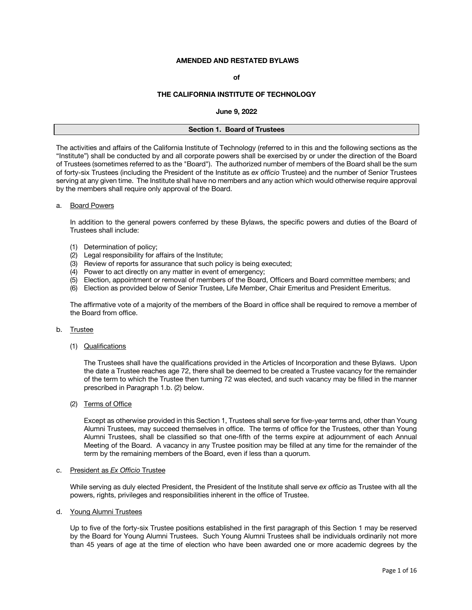# **AMENDED AND RESTATED BYLAWS**

# **of**

# **THE CALIFORNIA INSTITUTE OF TECHNOLOGY**

#### **June 9, 2022**

| Section 1. Board of Trustees |
|------------------------------|
|                              |

The activities and affairs of the California Institute of Technology (referred to in this and the following sections as the "Institute") shall be conducted by and all corporate powers shall be exercised by or under the direction of the Board of Trustees (sometimes referred to as the "Board"). The authorized number of members of the Board shall be the sum of forty-six Trustees (including the President of the Institute as *ex officio* Trustee) and the number of Senior Trustees serving at any given time. The Institute shall have no members and any action which would otherwise require approval by the members shall require only approval of the Board.

### a. Board Powers

In addition to the general powers conferred by these Bylaws, the specific powers and duties of the Board of Trustees shall include:

- (1) Determination of policy;
- (2) Legal responsibility for affairs of the Institute;
- (3) Review of reports for assurance that such policy is being executed;
- (4) Power to act directly on any matter in event of emergency;
- (5) Election, appointment or removal of members of the Board, Officers and Board committee members; and
- (6) Election as provided below of Senior Trustee, Life Member, Chair Emeritus and President Emeritus.

The affirmative vote of a majority of the members of the Board in office shall be required to remove a member of the Board from office.

# b. Trustee

(1) Qualifications

The Trustees shall have the qualifications provided in the Articles of Incorporation and these Bylaws. Upon the date a Trustee reaches age 72, there shall be deemed to be created a Trustee vacancy for the remainder of the term to which the Trustee then turning 72 was elected, and such vacancy may be filled in the manner prescribed in Paragraph 1.b. (2) below.

(2) Terms of Office

Except as otherwise provided in this Section 1, Trustees shall serve for five-year terms and, other than Young Alumni Trustees, may succeed themselves in office. The terms of office for the Trustees, other than Young Alumni Trustees, shall be classified so that one-fifth of the terms expire at adjournment of each Annual Meeting of the Board. A vacancy in any Trustee position may be filled at any time for the remainder of the term by the remaining members of the Board, even if less than a quorum.

# c. President as *Ex Officio* Trustee

While serving as duly elected President, the President of the Institute shall serve *ex officio* as Trustee with all the powers, rights, privileges and responsibilities inherent in the office of Trustee.

d. Young Alumni Trustees

Up to five of the forty-six Trustee positions established in the first paragraph of this Section 1 may be reserved by the Board for Young Alumni Trustees. Such Young Alumni Trustees shall be individuals ordinarily not more than 45 years of age at the time of election who have been awarded one or more academic degrees by the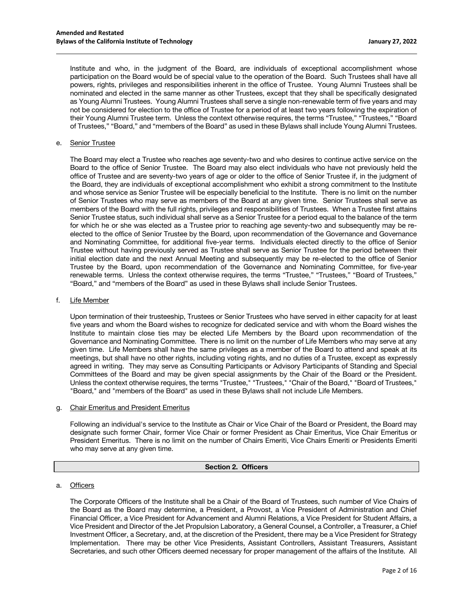Institute and who, in the judgment of the Board, are individuals of exceptional accomplishment whose participation on the Board would be of special value to the operation of the Board. Such Trustees shall have all powers, rights, privileges and responsibilities inherent in the office of Trustee. Young Alumni Trustees shall be nominated and elected in the same manner as other Trustees, except that they shall be specifically designated as Young Alumni Trustees. Young Alumni Trustees shall serve a single non-renewable term of five years and may not be considered for election to the office of Trustee for a period of at least two years following the expiration of their Young Alumni Trustee term. Unless the context otherwise requires, the terms "Trustee," "Trustees," "Board of Trustees," "Board," and "members of the Board" as used in these Bylaws shall include Young Alumni Trustees.

### e. Senior Trustee

The Board may elect a Trustee who reaches age seventy-two and who desires to continue active service on the Board to the office of Senior Trustee. The Board may also elect individuals who have not previously held the office of Trustee and are seventy-two years of age or older to the office of Senior Trustee if, in the judgment of the Board, they are individuals of exceptional accomplishment who exhibit a strong commitment to the Institute and whose service as Senior Trustee will be especially beneficial to the Institute.There is no limit on the number of Senior Trustees who may serve as members of the Board at any given time. Senior Trustees shall serve as members of the Board with the full rights, privileges and responsibilities of Trustees. When a Trustee first attains Senior Trustee status, such individual shall serve as a Senior Trustee for a period equal to the balance of the term for which he or she was elected as a Trustee prior to reaching age seventy-two and subsequently may be reelected to the office of Senior Trustee by the Board, upon recommendation of the Governance and Governance and Nominating Committee, for additional five-year terms. Individuals elected directly to the office of Senior Trustee without having previously served as Trustee shall serve as Senior Trustee for the period between their initial election date and the next Annual Meeting and subsequently may be re-elected to the office of Senior Trustee by the Board, upon recommendation of the Governance and Nominating Committee, for five-year renewable terms.Unless the context otherwise requires, the terms "Trustee," "Trustees," "Board of Trustees," "Board," and "members of the Board" as used in these Bylaws shall include Senior Trustees.

### f. Life Member

Upon termination of their trusteeship, Trustees or Senior Trustees who have served in either capacity for at least five years and whom the Board wishes to recognize for dedicated service and with whom the Board wishes the Institute to maintain close ties may be elected Life Members by the Board upon recommendation of the Governance and Nominating Committee. There is no limit on the number of Life Members who may serve at any given time. Life Members shall have the same privileges as a member of the Board to attend and speak at its meetings, but shall have no other rights, including voting rights, and no duties of a Trustee, except as expressly agreed in writing. They may serve as Consulting Participants or Advisory Participants of Standing and Special Committees of the Board and may be given special assignments by the Chair of the Board or the President. Unless the context otherwise requires, the terms "Trustee," "Trustees," "Chair of the Board," "Board of Trustees," "Board," and "members of the Board" as used in these Bylaws shall not include Life Members.

### g. Chair Emeritus and President Emeritus

Following an individual's service to the Institute as Chair or Vice Chair of the Board or President, the Board may designate such former Chair, former Vice Chair or former President as Chair Emeritus, Vice Chair Emeritus or President Emeritus. There is no limit on the number of Chairs Emeriti, Vice Chairs Emeriti or Presidents Emeriti who may serve at any given time.

### **Section 2. Officers**

### a. Officers

The Corporate Officers of the Institute shall be a Chair of the Board of Trustees, such number of Vice Chairs of the Board as the Board may determine, a President, a Provost, a Vice President of Administration and Chief Financial Officer, a Vice President for Advancement and Alumni Relations, a Vice President for Student Affairs, a Vice President and Director of the Jet Propulsion Laboratory, a General Counsel, a Controller, a Treasurer, a Chief Investment Officer, a Secretary, and, at the discretion of the President, there may be a Vice President for Strategy Implementation. There may be other Vice Presidents, Assistant Controllers, Assistant Treasurers, Assistant Secretaries, and such other Officers deemed necessary for proper management of the affairs of the Institute. All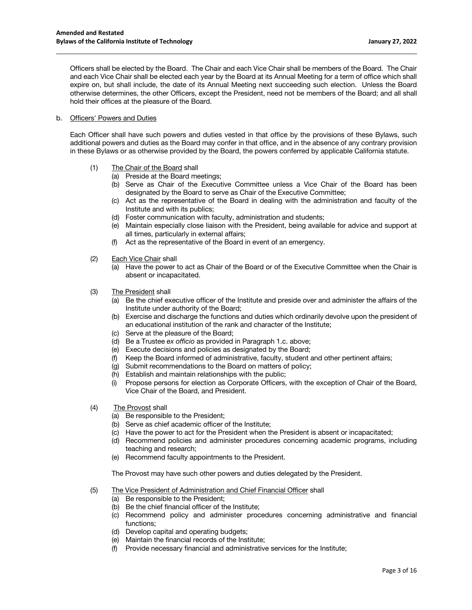Officers shall be elected by the Board. The Chair and each Vice Chair shall be members of the Board. The Chair and each Vice Chair shall be elected each year by the Board at its Annual Meeting for a term of office which shall expire on, but shall include, the date of its Annual Meeting next succeeding such election. Unless the Board otherwise determines, the other Officers, except the President, need not be members of the Board; and all shall hold their offices at the pleasure of the Board.

# b. Officers' Powers and Duties

Each Officer shall have such powers and duties vested in that office by the provisions of these Bylaws, such additional powers and duties as the Board may confer in that office, and in the absence of any contrary provision in these Bylaws or as otherwise provided by the Board, the powers conferred by applicable California statute.

- (1) The Chair of the Board shall
	- (a) Preside at the Board meetings;
	- (b) Serve as Chair of the Executive Committee unless a Vice Chair of the Board has been designated by the Board to serve as Chair of the Executive Committee;
	- (c) Act as the representative of the Board in dealing with the administration and faculty of the Institute and with its publics;
	- (d) Foster communication with faculty, administration and students;
	- (e) Maintain especially close liaison with the President, being available for advice and support at all times, particularly in external affairs;
	- (f) Act as the representative of the Board in event of an emergency.
- (2) Each Vice Chair shall
	- (a) Have the power to act as Chair of the Board or of the Executive Committee when the Chair is absent or incapacitated.
- (3) The President shall
	- (a) Be the chief executive officer of the Institute and preside over and administer the affairs of the Institute under authority of the Board;
	- (b) Exercise and discharge the functions and duties which ordinarily devolve upon the president of an educational institution of the rank and character of the Institute;
	- (c) Serve at the pleasure of the Board;
	- (d) Be a Trustee *ex officio* as provided in Paragraph 1.c. above;
	- (e) Execute decisions and policies as designated by the Board;
	- (f) Keep the Board informed of administrative, faculty, student and other pertinent affairs;
	- (g) Submit recommendations to the Board on matters of policy;
	- (h) Establish and maintain relationships with the public;
	- (i) Propose persons for election as Corporate Officers, with the exception of Chair of the Board, Vice Chair of the Board, and President.
- (4) The Provost shall
	- (a) Be responsible to the President;
	- (b) Serve as chief academic officer of the Institute;
	- (c) Have the power to act for the President when the President is absent or incapacitated;
	- (d) Recommend policies and administer procedures concerning academic programs, including teaching and research;
	- (e) Recommend faculty appointments to the President.

The Provost may have such other powers and duties delegated by the President.

- (5) The Vice President of Administration and Chief Financial Officer shall
	- (a) Be responsible to the President;
	- (b) Be the chief financial officer of the Institute;
	- (c) Recommend policy and administer procedures concerning administrative and financial functions;
	- (d) Develop capital and operating budgets;
	- (e) Maintain the financial records of the Institute;
	- (f) Provide necessary financial and administrative services for the Institute;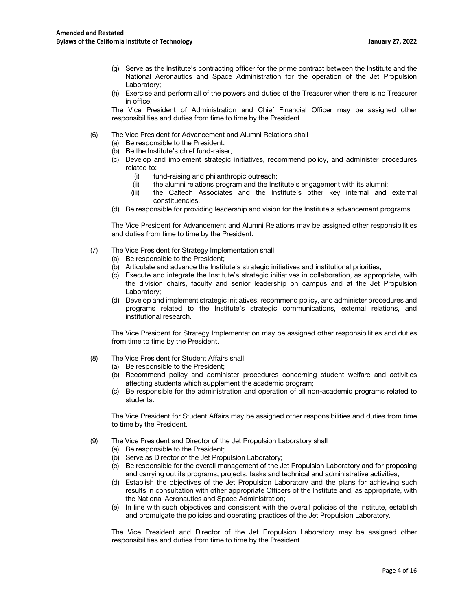- (g) Serve as the Institute's contracting officer for the prime contract between the Institute and the National Aeronautics and Space Administration for the operation of the Jet Propulsion Laboratory;
- (h) Exercise and perform all of the powers and duties of the Treasurer when there is no Treasurer in office.

The Vice President of Administration and Chief Financial Officer may be assigned other responsibilities and duties from time to time by the President.

#### (6) The Vice President for Advancement and Alumni Relations shall

- (a) Be responsible to the President;
- (b) Be the Institute's chief fund-raiser;
- (c) Develop and implement strategic initiatives, recommend policy, and administer procedures related to:
	- (i) fund-raising and philanthropic outreach;
	- (ii) the alumni relations program and the Institute's engagement with its alumni;
	- (iii) the Caltech Associates and the Institute's other key internal and external constituencies.
- (d) Be responsible for providing leadership and vision for the Institute's advancement programs.

The Vice President for Advancement and Alumni Relations may be assigned other responsibilities and duties from time to time by the President.

#### (7) The Vice President for Strategy Implementation shall

- (a) Be responsible to the President;
- (b) Articulate and advance the Institute's strategic initiatives and institutional priorities;
- (c) Execute and integrate the Institute's strategic initiatives in collaboration, as appropriate, with the division chairs, faculty and senior leadership on campus and at the Jet Propulsion Laboratory;
- (d) Develop and implement strategic initiatives, recommend policy, and administer procedures and programs related to the Institute's strategic communications, external relations, and institutional research.

The Vice President for Strategy Implementation may be assigned other responsibilities and duties from time to time by the President.

- (8) The Vice President for Student Affairs shall
	- (a) Be responsible to the President;
	- (b) Recommend policy and administer procedures concerning student welfare and activities affecting students which supplement the academic program;
	- (c) Be responsible for the administration and operation of all non-academic programs related to students.

The Vice President for Student Affairs may be assigned other responsibilities and duties from time to time by the President.

- (9) The Vice President and Director of the Jet Propulsion Laboratory shall
	- (a) Be responsible to the President;
	- (b) Serve as Director of the Jet Propulsion Laboratory;
	- (c) Be responsible for the overall management of the Jet Propulsion Laboratory and for proposing and carrying out its programs, projects, tasks and technical and administrative activities;
	- (d) Establish the objectives of the Jet Propulsion Laboratory and the plans for achieving such results in consultation with other appropriate Officers of the Institute and, as appropriate, with the National Aeronautics and Space Administration;
	- (e) In line with such objectives and consistent with the overall policies of the Institute, establish and promulgate the policies and operating practices of the Jet Propulsion Laboratory.

The Vice President and Director of the Jet Propulsion Laboratory may be assigned other responsibilities and duties from time to time by the President.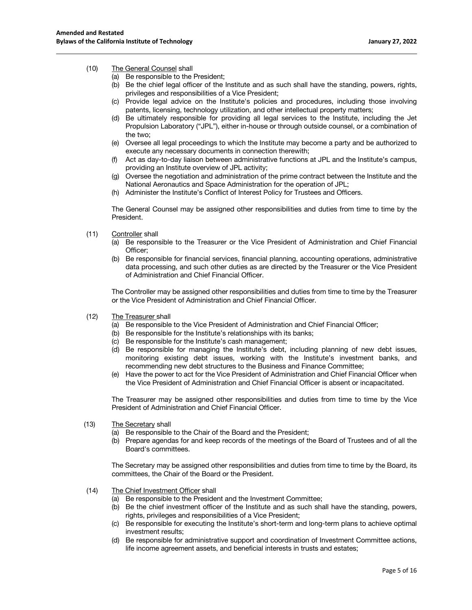### (10) The General Counsel shall

- (a) Be responsible to the President;
- (b) Be the chief legal officer of the Institute and as such shall have the standing, powers, rights, privileges and responsibilities of a Vice President;
- (c) Provide legal advice on the Institute's policies and procedures, including those involving patents, licensing, technology utilization, and other intellectual property matters;
- (d) Be ultimately responsible for providing all legal services to the Institute, including the Jet Propulsion Laboratory ("JPL"), either in-house or through outside counsel, or a combination of the two;
- (e) Oversee all legal proceedings to which the Institute may become a party and be authorized to execute any necessary documents in connection therewith;
- (f) Act as day-to-day liaison between administrative functions at JPL and the Institute's campus, providing an Institute overview of JPL activity;
- (g) Oversee the negotiation and administration of the prime contract between the Institute and the National Aeronautics and Space Administration for the operation of JPL;
- (h) Administer the Institute's Conflict of Interest Policy for Trustees and Officers.

The General Counsel may be assigned other responsibilities and duties from time to time by the President.

- (11) Controller shall
	- (a) Be responsible to the Treasurer or the Vice President of Administration and Chief Financial Officer;
	- (b) Be responsible for financial services, financial planning, accounting operations, administrative data processing, and such other duties as are directed by the Treasurer or the Vice President of Administration and Chief Financial Officer.

The Controller may be assigned other responsibilities and duties from time to time by the Treasurer or the Vice President of Administration and Chief Financial Officer.

- (12) The Treasurer shall
	- (a) Be responsible to the Vice President of Administration and Chief Financial Officer;
	- (b) Be responsible for the Institute's relationships with its banks;
	- (c) Be responsible for the Institute's cash management;
	- (d) Be responsible for managing the Institute's debt, including planning of new debt issues, monitoring existing debt issues, working with the Institute's investment banks, and recommending new debt structures to the Business and Finance Committee;
	- (e) Have the power to act for the Vice President of Administration and Chief Financial Officer when the Vice President of Administration and Chief Financial Officer is absent or incapacitated.

The Treasurer may be assigned other responsibilities and duties from time to time by the Vice President of Administration and Chief Financial Officer.

- (13) The Secretary shall
	- (a) Be responsible to the Chair of the Board and the President;
	- (b) Prepare agendas for and keep records of the meetings of the Board of Trustees and of all the Board's committees.

The Secretary may be assigned other responsibilities and duties from time to time by the Board, its committees, the Chair of the Board or the President.

- (14) The Chief Investment Officer shall
	- (a) Be responsible to the President and the Investment Committee;
	- (b) Be the chief investment officer of the Institute and as such shall have the standing, powers, rights, privileges and responsibilities of a Vice President;
	- (c) Be responsible for executing the Institute's short-term and long-term plans to achieve optimal investment results;
	- (d) Be responsible for administrative support and coordination of Investment Committee actions, life income agreement assets, and beneficial interests in trusts and estates;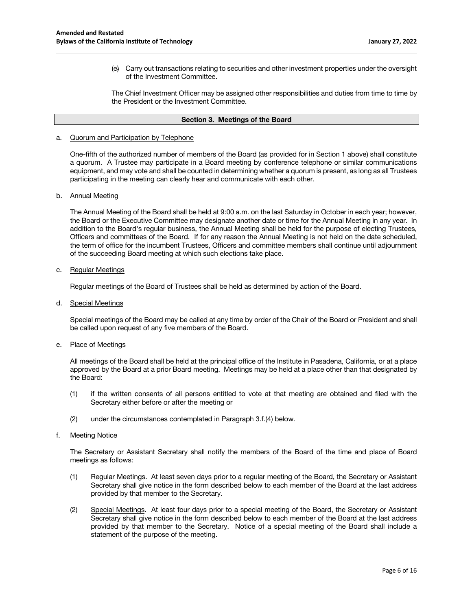(e) Carry out transactions relating to securities and other investment properties under the oversight of the Investment Committee.

The Chief Investment Officer may be assigned other responsibilities and duties from time to time by the President or the Investment Committee.

### **Section 3. Meetings of the Board**

### a. Quorum and Participation by Telephone

One-fifth of the authorized number of members of the Board (as provided for in Section 1 above) shall constitute a quorum. A Trustee may participate in a Board meeting by conference telephone or similar communications equipment, and may vote and shall be counted in determining whether a quorum is present, as long as all Trustees participating in the meeting can clearly hear and communicate with each other.

### b. Annual Meeting

The Annual Meeting of the Board shall be held at 9:00 a.m. on the last Saturday in October in each year; however, the Board or the Executive Committee may designate another date or time for the Annual Meeting in any year. In addition to the Board's regular business, the Annual Meeting shall be held for the purpose of electing Trustees, Officers and committees of the Board. If for any reason the Annual Meeting is not held on the date scheduled, the term of office for the incumbent Trustees, Officers and committee members shall continue until adjournment of the succeeding Board meeting at which such elections take place.

### c. Regular Meetings

Regular meetings of the Board of Trustees shall be held as determined by action of the Board.

d. Special Meetings

Special meetings of the Board may be called at any time by order of the Chair of the Board or President and shall be called upon request of any five members of the Board.

e. Place of Meetings

All meetings of the Board shall be held at the principal office of the Institute in Pasadena, California, or at a place approved by the Board at a prior Board meeting. Meetings may be held at a place other than that designated by the Board:

- (1) if the written consents of all persons entitled to vote at that meeting are obtained and filed with the Secretary either before or after the meeting or
- (2) under the circumstances contemplated in Paragraph 3.f.(4) below.
- f. Meeting Notice

The Secretary or Assistant Secretary shall notify the members of the Board of the time and place of Board meetings as follows:

- (1) Regular Meetings. At least seven days prior to a regular meeting of the Board, the Secretary or Assistant Secretary shall give notice in the form described below to each member of the Board at the last address provided by that member to the Secretary.
- (2) Special Meetings. At least four days prior to a special meeting of the Board, the Secretary or Assistant Secretary shall give notice in the form described below to each member of the Board at the last address provided by that member to the Secretary. Notice of a special meeting of the Board shall include a statement of the purpose of the meeting.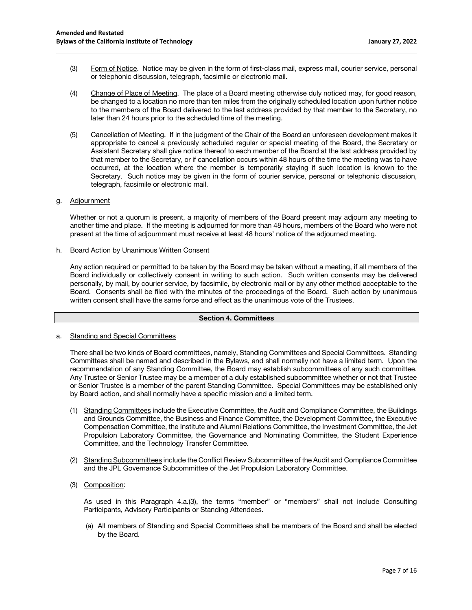- (3) Form of Notice. Notice may be given in the form of first-class mail, express mail, courier service, personal or telephonic discussion, telegraph, facsimile or electronic mail.
- (4) Change of Place of Meeting. The place of a Board meeting otherwise duly noticed may, for good reason, be changed to a location no more than ten miles from the originally scheduled location upon further notice to the members of the Board delivered to the last address provided by that member to the Secretary, no later than 24 hours prior to the scheduled time of the meeting.
- (5) Cancellation of Meeting. If in the judgment of the Chair of the Board an unforeseen development makes it appropriate to cancel a previously scheduled regular or special meeting of the Board, the Secretary or Assistant Secretary shall give notice thereof to each member of the Board at the last address provided by that member to the Secretary, or if cancellation occurs within 48 hours of the time the meeting was to have occurred, at the location where the member is temporarily staying if such location is known to the Secretary. Such notice may be given in the form of courier service, personal or telephonic discussion, telegraph, facsimile or electronic mail.

### g. Adjournment

Whether or not a quorum is present, a majority of members of the Board present may adjourn any meeting to another time and place. If the meeting is adjourned for more than 48 hours, members of the Board who were not present at the time of adjournment must receive at least 48 hours' notice of the adjourned meeting.

h. Board Action by Unanimous Written Consent

Any action required or permitted to be taken by the Board may be taken without a meeting, if all members of the Board individually or collectively consent in writing to such action. Such written consents may be delivered personally, by mail, by courier service, by facsimile, by electronic mail or by any other method acceptable to the Board. Consents shall be filed with the minutes of the proceedings of the Board. Such action by unanimous written consent shall have the same force and effect as the unanimous vote of the Trustees.

# **Section 4. Committees**

### a. Standing and Special Committees

There shall be two kinds of Board committees, namely, Standing Committees and Special Committees. Standing Committees shall be named and described in the Bylaws, and shall normally not have a limited term. Upon the recommendation of any Standing Committee, the Board may establish subcommittees of any such committee. Any Trustee or Senior Trustee may be a member of a duly established subcommittee whether or not that Trustee or Senior Trustee is a member of the parent Standing Committee. Special Committees may be established only by Board action, and shall normally have a specific mission and a limited term.

- (1) Standing Committees include the Executive Committee, the Audit and Compliance Committee, the Buildings and Grounds Committee, the Business and Finance Committee, the Development Committee, the Executive Compensation Committee, the Institute and Alumni Relations Committee, the Investment Committee, the Jet Propulsion Laboratory Committee, the Governance and Nominating Committee, the Student Experience Committee, and the Technology Transfer Committee.
- (2) Standing Subcommittees include the Conflict Review Subcommittee of the Audit and Compliance Committee and the JPL Governance Subcommittee of the Jet Propulsion Laboratory Committee.
- (3) Composition:

As used in this Paragraph 4.a.(3), the terms "member" or "members" shall not include Consulting Participants, Advisory Participants or Standing Attendees.

(a) All members of Standing and Special Committees shall be members of the Board and shall be elected by the Board.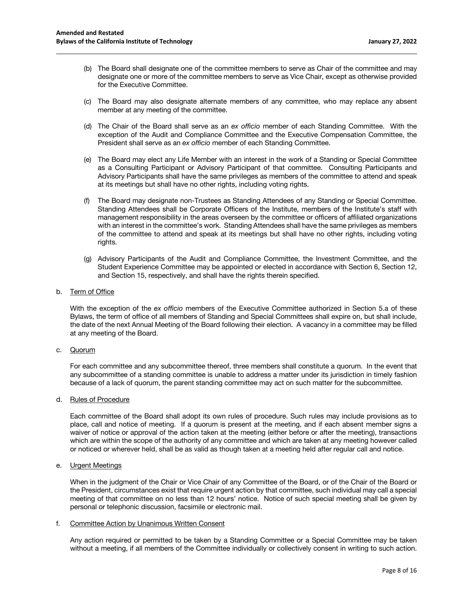- (b) The Board shall designate one of the committee members to serve as Chair of the committee and may designate one or more of the committee members to serve as Vice Chair, except as otherwise provided for the Executive Committee.
- (c) The Board may also designate alternate members of any committee, who may replace any absent member at any meeting of the committee.
- (d) The Chair of the Board shall serve as an *ex officio* member of each Standing Committee. With the exception of the Audit and Compliance Committee and the Executive Compensation Committee, the President shall serve as an *ex officio* member of each Standing Committee.
- (e) The Board may elect any Life Member with an interest in the work of a Standing or Special Committee as a Consulting Participant or Advisory Participant of that committee. Consulting Participants and Advisory Participants shall have the same privileges as members of the committee to attend and speak at its meetings but shall have no other rights, including voting rights.
- (f) The Board may designate non-Trustees as Standing Attendees of any Standing or Special Committee. Standing Attendees shall be Corporate Officers of the Institute, members of the Institute's staff with management responsibility in the areas overseen by the committee or officers of affiliated organizations with an interest in the committee's work. Standing Attendees shall have the same privileges as members of the committee to attend and speak at its meetings but shall have no other rights, including voting rights.
- (g) Advisory Participants of the Audit and Compliance Committee, the Investment Committee, and the Student Experience Committee may be appointed or elected in accordance with Section 6, Section 12, and Section 15, respectively, and shall have the rights therein specified.

# b. Term of Office

With the exception of the *ex officio* members of the Executive Committee authorized in Section 5.a of these Bylaws, the term of office of all members of Standing and Special Committees shall expire on, but shall include, the date of the next Annual Meeting of the Board following their election. A vacancy in a committee may be filled at any meeting of the Board.

c. Quorum

For each committee and any subcommittee thereof, three members shall constitute a quorum. In the event that any subcommittee of a standing committee is unable to address a matter under its jurisdiction in timely fashion because of a lack of quorum, the parent standing committee may act on such matter for the subcommittee.

d. Rules of Procedure

Each committee of the Board shall adopt its own rules of procedure. Such rules may include provisions as to place, call and notice of meeting. If a quorum is present at the meeting, and if each absent member signs a waiver of notice or approval of the action taken at the meeting (either before or after the meeting), transactions which are within the scope of the authority of any committee and which are taken at any meeting however called or noticed or wherever held, shall be as valid as though taken at a meeting held after regular call and notice.

### e. Urgent Meetings

When in the judgment of the Chair or Vice Chair of any Committee of the Board, or of the Chair of the Board or the President, circumstances exist that require urgent action by that committee, such individual may call a special meeting of that committee on no less than 12 hours' notice. Notice of such special meeting shall be given by personal or telephonic discussion, facsimile or electronic mail.

### f. Committee Action by Unanimous Written Consent

Any action required or permitted to be taken by a Standing Committee or a Special Committee may be taken without a meeting, if all members of the Committee individually or collectively consent in writing to such action.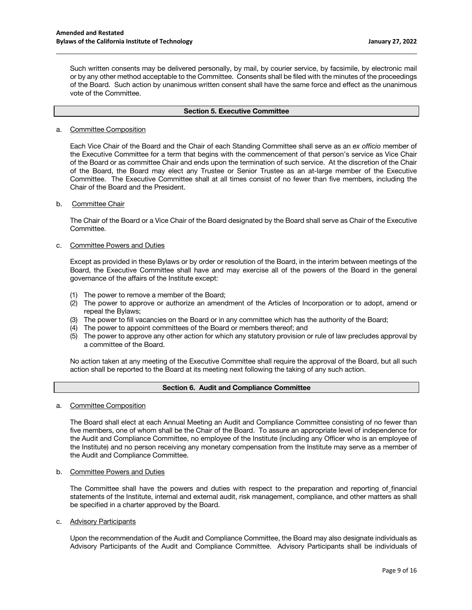Such written consents may be delivered personally, by mail, by courier service, by facsimile, by electronic mail or by any other method acceptable to the Committee. Consents shall be filed with the minutes of the proceedings of the Board. Such action by unanimous written consent shall have the same force and effect as the unanimous vote of the Committee.

#### **Section 5. Executive Committee**

### a. Committee Composition

Each Vice Chair of the Board and the Chair of each Standing Committee shall serve as an *ex officio* member of the Executive Committee for a term that begins with the commencement of that person's service as Vice Chair of the Board or as committee Chair and ends upon the termination of such service. At the discretion of the Chair of the Board, the Board may elect any Trustee or Senior Trustee as an at-large member of the Executive Committee. The Executive Committee shall at all times consist of no fewer than five members, including the Chair of the Board and the President.

# b. Committee Chair

The Chair of the Board or a Vice Chair of the Board designated by the Board shall serve as Chair of the Executive Committee.

### c. Committee Powers and Duties

Except as provided in these Bylaws or by order or resolution of the Board, in the interim between meetings of the Board, the Executive Committee shall have and may exercise all of the powers of the Board in the general governance of the affairs of the Institute except:

- (1) The power to remove a member of the Board;
- (2) The power to approve or authorize an amendment of the Articles of Incorporation or to adopt, amend or repeal the Bylaws;
- (3) The power to fill vacancies on the Board or in any committee which has the authority of the Board;
- (4) The power to appoint committees of the Board or members thereof; and
- (5) The power to approve any other action for which any statutory provision or rule of law precludes approval by a committee of the Board.

No action taken at any meeting of the Executive Committee shall require the approval of the Board, but all such action shall be reported to the Board at its meeting next following the taking of any such action.

# **Section 6. Audit and Compliance Committee**

a. Committee Composition

The Board shall elect at each Annual Meeting an Audit and Compliance Committee consisting of no fewer than five members, one of whom shall be the Chair of the Board. To assure an appropriate level of independence for the Audit and Compliance Committee, no employee of the Institute (including any Officer who is an employee of the Institute) and no person receiving any monetary compensation from the Institute may serve as a member of the Audit and Compliance Committee.

b. Committee Powers and Duties

The Committee shall have the powers and duties with respect to the preparation and reporting of financial statements of the Institute, internal and external audit, risk management, compliance, and other matters as shall be specified in a charter approved by the Board.

c. Advisory Participants

Upon the recommendation of the Audit and Compliance Committee, the Board may also designate individuals as Advisory Participants of the Audit and Compliance Committee. Advisory Participants shall be individuals of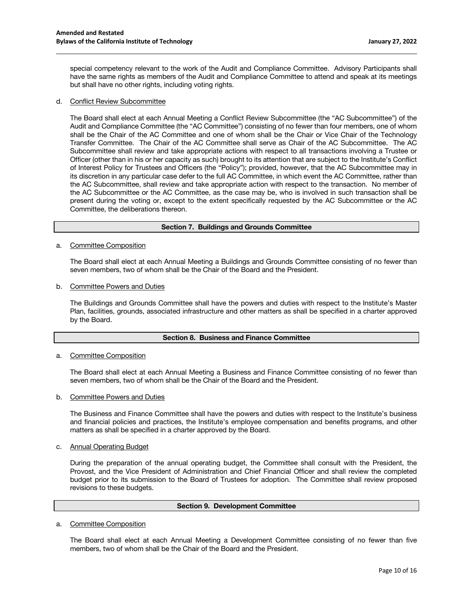special competency relevant to the work of the Audit and Compliance Committee. Advisory Participants shall have the same rights as members of the Audit and Compliance Committee to attend and speak at its meetings but shall have no other rights, including voting rights.

### d. Conflict Review Subcommittee

The Board shall elect at each Annual Meeting a Conflict Review Subcommittee (the "AC Subcommittee") of the Audit and Compliance Committee (the "AC Committee") consisting of no fewer than four members, one of whom shall be the Chair of the AC Committee and one of whom shall be the Chair or Vice Chair of the Technology Transfer Committee. The Chair of the AC Committee shall serve as Chair of the AC Subcommittee. The AC Subcommittee shall review and take appropriate actions with respect to all transactions involving a Trustee or Officer (other than in his or her capacity as such) brought to its attention that are subject to the Institute's Conflict of Interest Policy for Trustees and Officers (the "Policy"); provided, however, that the AC Subcommittee may in its discretion in any particular case defer to the full AC Committee, in which event the AC Committee, rather than the AC Subcommittee, shall review and take appropriate action with respect to the transaction. No member of the AC Subcommittee or the AC Committee, as the case may be, who is involved in such transaction shall be present during the voting or, except to the extent specifically requested by the AC Subcommittee or the AC Committee, the deliberations thereon.

#### **Section 7. Buildings and Grounds Committee**

a. Committee Composition

The Board shall elect at each Annual Meeting a Buildings and Grounds Committee consisting of no fewer than seven members, two of whom shall be the Chair of the Board and the President.

b. Committee Powers and Duties

The Buildings and Grounds Committee shall have the powers and duties with respect to the Institute's Master Plan, facilities, grounds, associated infrastructure and other matters as shall be specified in a charter approved by the Board.

### **Section 8. Business and Finance Committee**

a. Committee Composition

The Board shall elect at each Annual Meeting a Business and Finance Committee consisting of no fewer than seven members, two of whom shall be the Chair of the Board and the President.

b. Committee Powers and Duties

The Business and Finance Committee shall have the powers and duties with respect to the Institute's business and financial policies and practices, the Institute's employee compensation and benefits programs, and other matters as shall be specified in a charter approved by the Board.

c. Annual Operating Budget

During the preparation of the annual operating budget, the Committee shall consult with the President, the Provost, and the Vice President of Administration and Chief Financial Officer and shall review the completed budget prior to its submission to the Board of Trustees for adoption. The Committee shall review proposed revisions to these budgets.

#### **Section 9. Development Committee**

a. Committee Composition

The Board shall elect at each Annual Meeting a Development Committee consisting of no fewer than five members, two of whom shall be the Chair of the Board and the President.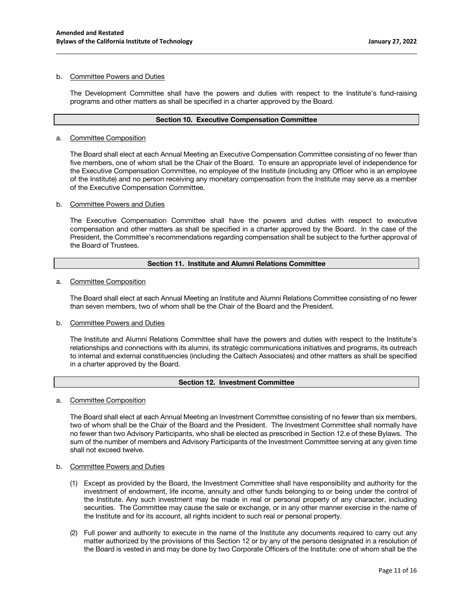### b. Committee Powers and Duties

The Development Committee shall have the powers and duties with respect to the Institute's fund-raising programs and other matters as shall be specified in a charter approved by the Board.

### **Section 10. Executive Compensation Committee**

### a. Committee Composition

The Board shall elect at each Annual Meeting an Executive Compensation Committee consisting of no fewer than five members, one of whom shall be the Chair of the Board. To ensure an appropriate level of independence for the Executive Compensation Committee, no employee of the Institute (including any Officer who is an employee of the Institute) and no person receiving any monetary compensation from the Institute may serve as a member of the Executive Compensation Committee.

### b. Committee Powers and Duties

The Executive Compensation Committee shall have the powers and duties with respect to executive compensation and other matters as shall be specified in a charter approved by the Board. In the case of the President, the Committee's recommendations regarding compensation shall be subject to the further approval of the Board of Trustees.

# **Section 11. Institute and Alumni Relations Committee**

### a. Committee Composition

The Board shall elect at each Annual Meeting an Institute and Alumni Relations Committee consisting of no fewer than seven members, two of whom shall be the Chair of the Board and the President.

### b. Committee Powers and Duties

The Institute and Alumni Relations Committee shall have the powers and duties with respect to the Institute's relationships and connections with its alumni, its strategic communications initiatives and programs, its outreach to internal and external constituencies (including the Caltech Associates) and other matters as shall be specified in a charter approved by the Board.

### **Section 12. Investment Committee**

a. Committee Composition

The Board shall elect at each Annual Meeting an Investment Committee consisting of no fewer than six members, two of whom shall be the Chair of the Board and the President. The Investment Committee shall normally have no fewer than two Advisory Participants, who shall be elected as prescribed in Section 12.e of these Bylaws. The sum of the number of members and Advisory Participants of the Investment Committee serving at any given time shall not exceed twelve.

## b. Committee Powers and Duties

- (1) Except as provided by the Board, the Investment Committee shall have responsibility and authority for the investment of endowment, life income, annuity and other funds belonging to or being under the control of the Institute. Any such investment may be made in real or personal property of any character, including securities. The Committee may cause the sale or exchange, or in any other manner exercise in the name of the Institute and for its account, all rights incident to such real or personal property.
- (2) Full power and authority to execute in the name of the Institute any documents required to carry out any matter authorized by the provisions of this Section 12 or by any of the persons designated in a resolution of the Board is vested in and may be done by two Corporate Officers of the Institute: one of whom shall be the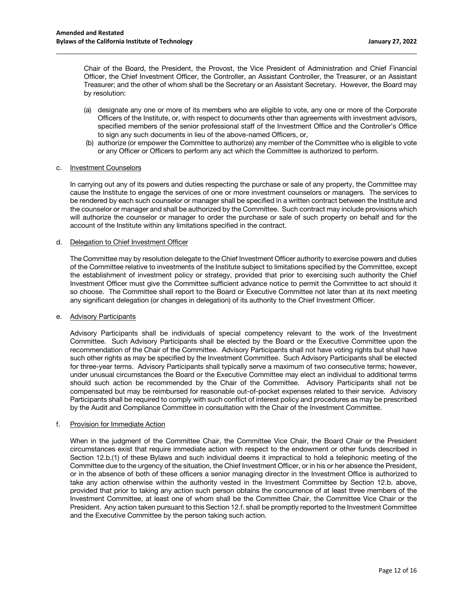Chair of the Board, the President, the Provost, the Vice President of Administration and Chief Financial Officer, the Chief Investment Officer, the Controller, an Assistant Controller, the Treasurer, or an Assistant Treasurer; and the other of whom shall be the Secretary or an Assistant Secretary. However, the Board may by resolution:

- (a) designate any one or more of its members who are eligible to vote, any one or more of the Corporate Officers of the Institute, or, with respect to documents other than agreements with investment advisors, specified members of the senior professional staff of the Investment Office and the Controller's Office to sign any such documents in lieu of the above-named Officers, or,
- (b) authorize (or empower the Committee to authorize) any member of the Committee who is eligible to vote or any Officer or Officers to perform any act which the Committee is authorized to perform.

### c. Investment Counselors

In carrying out any of its powers and duties respecting the purchase or sale of any property, the Committee may cause the Institute to engage the services of one or more investment counselors or managers. The services to be rendered by each such counselor or manager shall be specified in a written contract between the Institute and the counselor or manager and shall be authorized by the Committee. Such contract may include provisions which will authorize the counselor or manager to order the purchase or sale of such property on behalf and for the account of the Institute within any limitations specified in the contract.

#### d. Delegation to Chief Investment Officer

The Committee may by resolution delegate to the Chief Investment Officer authority to exercise powers and duties of the Committee relative to investments of the Institute subject to limitations specified by the Committee, except the establishment of investment policy or strategy, provided that prior to exercising such authority the Chief Investment Officer must give the Committee sufficient advance notice to permit the Committee to act should it so choose. The Committee shall report to the Board or Executive Committee not later than at its next meeting any significant delegation (or changes in delegation) of its authority to the Chief Investment Officer.

### e. Advisory Participants

Advisory Participants shall be individuals of special competency relevant to the work of the Investment Committee. Such Advisory Participants shall be elected by the Board or the Executive Committee upon the recommendation of the Chair of the Committee. Advisory Participants shall not have voting rights but shall have such other rights as may be specified by the Investment Committee. Such Advisory Participants shall be elected for three-year terms. Advisory Participants shall typically serve a maximum of two consecutive terms; however, under unusual circumstances the Board or the Executive Committee may elect an individual to additional terms should such action be recommended by the Chair of the Committee. Advisory Participants shall not be compensated but may be reimbursed for reasonable out-of-pocket expenses related to their service. Advisory Participants shall be required to comply with such conflict of interest policy and procedures as may be prescribed by the Audit and Compliance Committee in consultation with the Chair of the Investment Committee.

### f. Provision for Immediate Action

When in the judgment of the Committee Chair, the Committee Vice Chair, the Board Chair or the President circumstances exist that require immediate action with respect to the endowment or other funds described in Section 12.b.(1) of these Bylaws and such individual deems it impractical to hold a telephonic meeting of the Committee due to the urgency of the situation, the Chief Investment Officer, or in his or her absence the President, or in the absence of both of these officers a senior managing director in the Investment Office is authorized to take any action otherwise within the authority vested in the Investment Committee by Section 12.b. above, provided that prior to taking any action such person obtains the concurrence of at least three members of the Investment Committee, at least one of whom shall be the Committee Chair, the Committee Vice Chair or the President. Any action taken pursuant to this Section 12.f. shall be promptly reported to the Investment Committee and the Executive Committee by the person taking such action.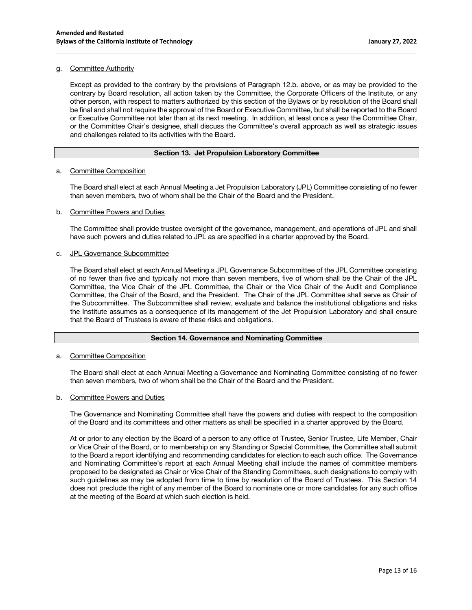### g. Committee Authority

Except as provided to the contrary by the provisions of Paragraph 12.b. above, or as may be provided to the contrary by Board resolution, all action taken by the Committee, the Corporate Officers of the Institute, or any other person, with respect to matters authorized by this section of the Bylaws or by resolution of the Board shall be final and shall not require the approval of the Board or Executive Committee, but shall be reported to the Board or Executive Committee not later than at its next meeting. In addition, at least once a year the Committee Chair, or the Committee Chair's designee, shall discuss the Committee's overall approach as well as strategic issues and challenges related to its activities with the Board.

# **Section 13. Jet Propulsion Laboratory Committee**

### a. Committee Composition

The Board shall elect at each Annual Meeting a Jet Propulsion Laboratory (JPL) Committee consisting of no fewer than seven members, two of whom shall be the Chair of the Board and the President.

### b. Committee Powers and Duties

The Committee shall provide trustee oversight of the governance, management, and operations of JPL and shall have such powers and duties related to JPL as are specified in a charter approved by the Board.

### c. JPL Governance Subcommittee

The Board shall elect at each Annual Meeting a JPL Governance Subcommittee of the JPL Committee consisting of no fewer than five and typically not more than seven members, five of whom shall be the Chair of the JPL Committee, the Vice Chair of the JPL Committee, the Chair or the Vice Chair of the Audit and Compliance Committee, the Chair of the Board, and the President. The Chair of the JPL Committee shall serve as Chair of the Subcommittee. The Subcommittee shall review, evaluate and balance the institutional obligations and risks the Institute assumes as a consequence of its management of the Jet Propulsion Laboratory and shall ensure that the Board of Trustees is aware of these risks and obligations.

# **Section 14. Governance and Nominating Committee**

### a. Committee Composition

The Board shall elect at each Annual Meeting a Governance and Nominating Committee consisting of no fewer than seven members, two of whom shall be the Chair of the Board and the President.

### b. Committee Powers and Duties

The Governance and Nominating Committee shall have the powers and duties with respect to the composition of the Board and its committees and other matters as shall be specified in a charter approved by the Board.

At or prior to any election by the Board of a person to any office of Trustee, Senior Trustee, Life Member, Chair or Vice Chair of the Board, or to membership on any Standing or Special Committee, the Committee shall submit to the Board a report identifying and recommending candidates for election to each such office. The Governance and Nominating Committee's report at each Annual Meeting shall include the names of committee members proposed to be designated as Chair or Vice Chair of the Standing Committees, such designations to comply with such guidelines as may be adopted from time to time by resolution of the Board of Trustees. This Section 14 does not preclude the right of any member of the Board to nominate one or more candidates for any such office at the meeting of the Board at which such election is held.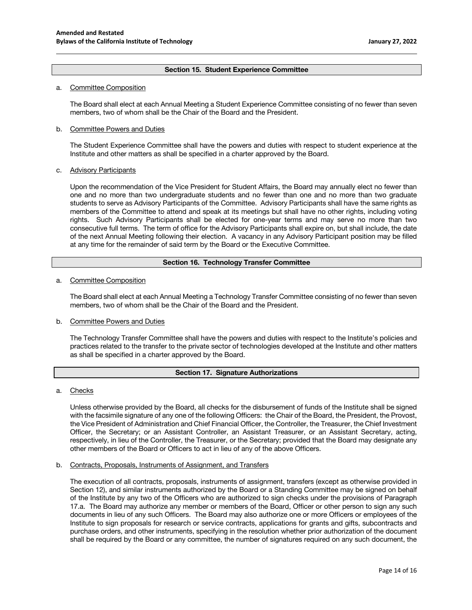# **Section 15. Student Experience Committee**

### a. Committee Composition

The Board shall elect at each Annual Meeting a Student Experience Committee consisting of no fewer than seven members, two of whom shall be the Chair of the Board and the President.

### b. Committee Powers and Duties

The Student Experience Committee shall have the powers and duties with respect to student experience at the Institute and other matters as shall be specified in a charter approved by the Board.

### c. Advisory Participants

Upon the recommendation of the Vice President for Student Affairs, the Board may annually elect no fewer than one and no more than two undergraduate students and no fewer than one and no more than two graduate students to serve as Advisory Participants of the Committee. Advisory Participants shall have the same rights as members of the Committee to attend and speak at its meetings but shall have no other rights, including voting rights. Such Advisory Participants shall be elected for one-year terms and may serve no more than two consecutive full terms. The term of office for the Advisory Participants shall expire on, but shall include, the date of the next Annual Meeting following their election. A vacancy in any Advisory Participant position may be filled at any time for the remainder of said term by the Board or the Executive Committee.

# **Section 16. Technology Transfer Committee**

#### a. Committee Composition

The Board shall elect at each Annual Meeting a Technology Transfer Committee consisting of no fewer than seven members, two of whom shall be the Chair of the Board and the President.

### b. Committee Powers and Duties

The Technology Transfer Committee shall have the powers and duties with respect to the Institute's policies and practices related to the transfer to the private sector of technologies developed at the Institute and other matters as shall be specified in a charter approved by the Board.

# **Section 17. Signature Authorizations**

#### a. Checks

Unless otherwise provided by the Board, all checks for the disbursement of funds of the Institute shall be signed with the facsimile signature of any one of the following Officers: the Chair of the Board, the President, the Provost, the Vice President of Administration and Chief Financial Officer, the Controller, the Treasurer, the Chief Investment Officer, the Secretary; or an Assistant Controller, an Assistant Treasurer, or an Assistant Secretary, acting, respectively, in lieu of the Controller, the Treasurer, or the Secretary; provided that the Board may designate any other members of the Board or Officers to act in lieu of any of the above Officers.

#### b. Contracts, Proposals, Instruments of Assignment, and Transfers

The execution of all contracts, proposals, instruments of assignment, transfers (except as otherwise provided in Section 12), and similar instruments authorized by the Board or a Standing Committee may be signed on behalf of the Institute by any two of the Officers who are authorized to sign checks under the provisions of Paragraph 17.a. The Board may authorize any member or members of the Board, Officer or other person to sign any such documents in lieu of any such Officers. The Board may also authorize one or more Officers or employees of the Institute to sign proposals for research or service contracts, applications for grants and gifts, subcontracts and purchase orders, and other instruments, specifying in the resolution whether prior authorization of the document shall be required by the Board or any committee, the number of signatures required on any such document, the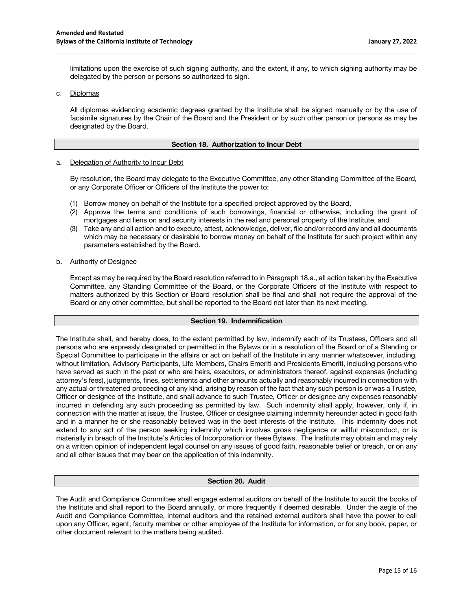limitations upon the exercise of such signing authority, and the extent, if any, to which signing authority may be delegated by the person or persons so authorized to sign.

## c. Diplomas

All diplomas evidencing academic degrees granted by the Institute shall be signed manually or by the use of facsimile signatures by the Chair of the Board and the President or by such other person or persons as may be designated by the Board.

### **Section 18. Authorization to Incur Debt**

#### a. Delegation of Authority to Incur Debt

By resolution, the Board may delegate to the Executive Committee, any other Standing Committee of the Board, or any Corporate Officer or Officers of the Institute the power to:

- (1) Borrow money on behalf of the Institute for a specified project approved by the Board,
- (2) Approve the terms and conditions of such borrowings, financial or otherwise, including the grant of mortgages and liens on and security interests in the real and personal property of the Institute, and
- (3) Take any and all action and to execute, attest, acknowledge, deliver, file and/or record any and all documents which may be necessary or desirable to borrow money on behalf of the Institute for such project within any parameters established by the Board.

#### b. Authority of Designee

Except as may be required by the Board resolution referred to in Paragraph 18.a., all action taken by the Executive Committee, any Standing Committee of the Board, or the Corporate Officers of the Institute with respect to matters authorized by this Section or Board resolution shall be final and shall not require the approval of the Board or any other committee, but shall be reported to the Board not later than its next meeting.

### **Section 19. Indemnification**

The Institute shall, and hereby does, to the extent permitted by law, indemnify each of its Trustees, Officers and all persons who are expressly designated or permitted in the Bylaws or in a resolution of the Board or of a Standing or Special Committee to participate in the affairs or act on behalf of the Institute in any manner whatsoever, including, without limitation, Advisory Participants, Life Members, Chairs Emeriti and Presidents Emeriti, including persons who have served as such in the past or who are heirs, executors, or administrators thereof, against expenses (including attorney's fees), judgments, fines, settlements and other amounts actually and reasonably incurred in connection with any actual or threatened proceeding of any kind, arising by reason of the fact that any such person is or was a Trustee, Officer or designee of the Institute, and shall advance to such Trustee, Officer or designee any expenses reasonably incurred in defending any such proceeding as permitted by law. Such indemnity shall apply, however, only if, in connection with the matter at issue, the Trustee, Officer or designee claiming indemnity hereunder acted in good faith and in a manner he or she reasonably believed was in the best interests of the Institute. This indemnity does not extend to any act of the person seeking indemnity which involves gross negligence or willful misconduct, or is materially in breach of the Institute's Articles of Incorporation or these Bylaws. The Institute may obtain and may rely on a written opinion of independent legal counsel on any issues of good faith, reasonable belief or breach, or on any and all other issues that may bear on the application of this indemnity.

#### **Section 20. Audit**

The Audit and Compliance Committee shall engage external auditors on behalf of the Institute to audit the books of the Institute and shall report to the Board annually, or more frequently if deemed desirable. Under the aegis of the Audit and Compliance Committee, internal auditors and the retained external auditors shall have the power to call upon any Officer, agent, faculty member or other employee of the Institute for information, or for any book, paper, or other document relevant to the matters being audited.